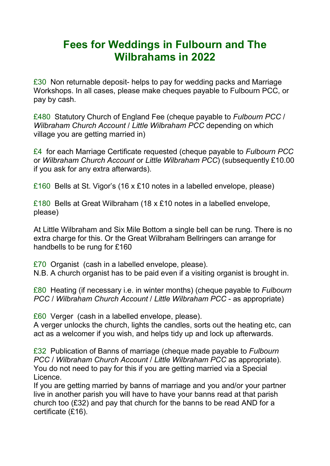## **Fees for Weddings in Fulbourn and The Wilbrahams in 2022**

£30 Non returnable deposit- helps to pay for wedding packs and Marriage Workshops. In all cases, please make cheques payable to Fulbourn PCC, or pay by cash.

£480 Statutory Church of England Fee (cheque payable to *Fulbourn PCC* / *Wilbraham Church Account* / *Little Wilbraham PCC* depending on which village you are getting married in)

£4 for each Marriage Certificate requested (cheque payable to *Fulbourn PCC* or *Wilbraham Church Account* or *Little Wilbraham PCC*) (subsequently £10.00 if you ask for any extra afterwards).

£160 Bells at St. Vigor's (16 x £10 notes in a labelled envelope, please)

£180 Bells at Great Wilbraham (18 x £10 notes in a labelled envelope, please)

At Little Wilbraham and Six Mile Bottom a single bell can be rung. There is no extra charge for this. Or the Great Wilbraham Bellringers can arrange for handbells to be rung for £160

£70 Organist (cash in a labelled envelope, please).

N.B. A church organist has to be paid even if a visiting organist is brought in.

£80 Heating (if necessary i.e. in winter months) (cheque payable to *Fulbourn PCC* / *Wilbraham Church Account* / *Little Wilbraham PCC* - as appropriate)

£60 Verger (cash in a labelled envelope, please).

A verger unlocks the church, lights the candles, sorts out the heating etc, can act as a welcomer if you wish, and helps tidy up and lock up afterwards.

£32 Publication of Banns of marriage (cheque made payable to *Fulbourn PCC* / *Wilbraham Church Account* / *Little Wilbraham PCC* as appropriate). You do not need to pay for this if you are getting married via a Special Licence.

If you are getting married by banns of marriage and you and/or your partner live in another parish you will have to have your banns read at that parish church too (£32) and pay that church for the banns to be read AND for a certificate (£16).